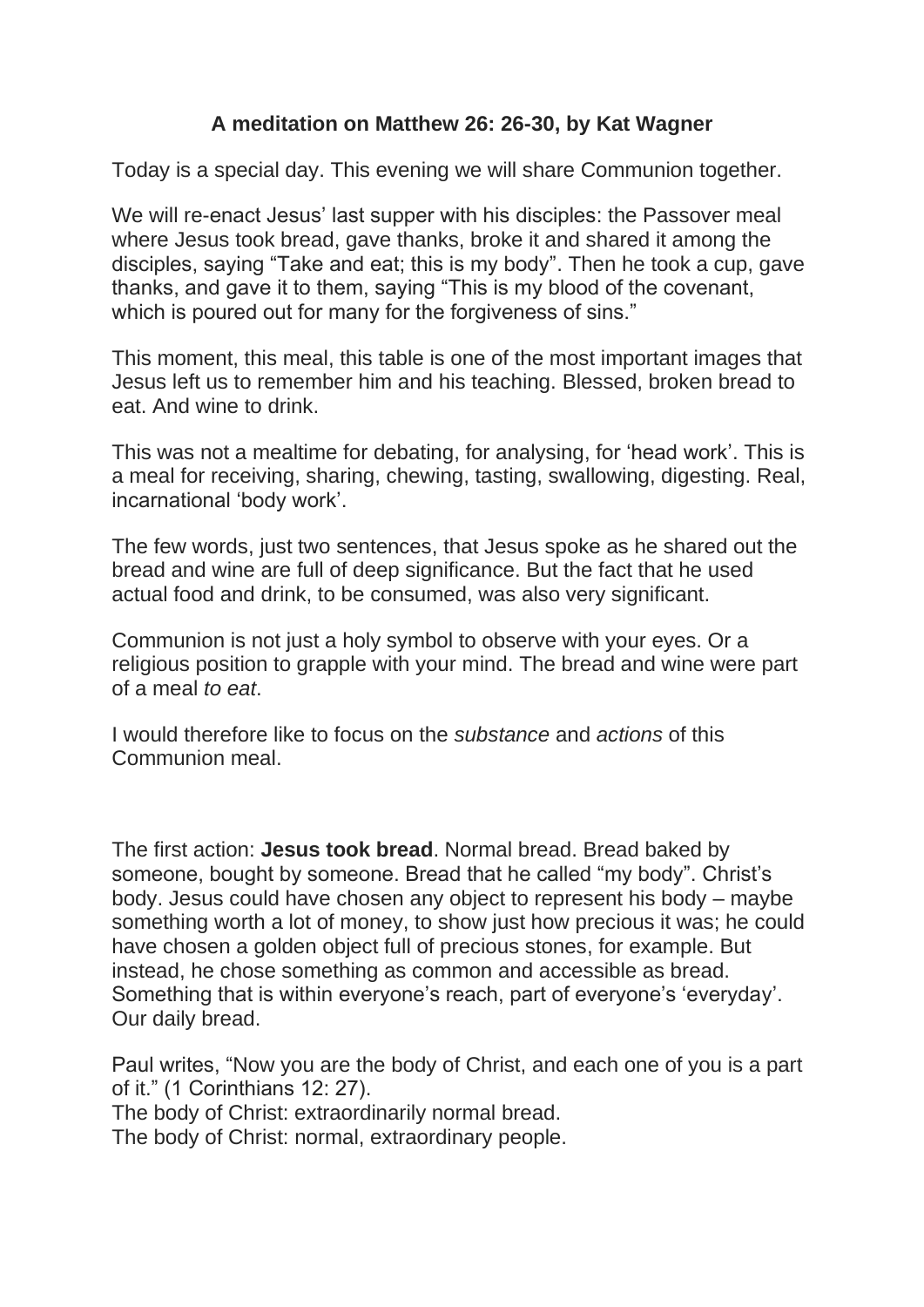## **A meditation on Matthew 26: 26-30, by Kat Wagner**

Today is a special day. This evening we will share Communion together.

We will re-enact Jesus' last supper with his disciples: the Passover meal where Jesus took bread, gave thanks, broke it and shared it among the disciples, saying "Take and eat; this is my body". Then he took a cup, gave thanks, and gave it to them, saying "This is my blood of the covenant, which is poured out for many for the forgiveness of sins."

This moment, this meal, this table is one of the most important images that Jesus left us to remember him and his teaching. Blessed, broken bread to eat. And wine to drink.

This was not a mealtime for debating, for analysing, for 'head work'. This is a meal for receiving, sharing, chewing, tasting, swallowing, digesting. Real, incarnational 'body work'.

The few words, just two sentences, that Jesus spoke as he shared out the bread and wine are full of deep significance. But the fact that he used actual food and drink, to be consumed, was also very significant.

Communion is not just a holy symbol to observe with your eyes. Or a religious position to grapple with your mind. The bread and wine were part of a meal *to eat*.

I would therefore like to focus on the *substance* and *actions* of this Communion meal.

The first action: **Jesus took bread**. Normal bread. Bread baked by someone, bought by someone. Bread that he called "my body". Christ's body. Jesus could have chosen any object to represent his body – maybe something worth a lot of money, to show just how precious it was; he could have chosen a golden object full of precious stones, for example. But instead, he chose something as common and accessible as bread. Something that is within everyone's reach, part of everyone's 'everyday'. Our daily bread.

Paul writes, "Now you are the body of Christ, and each one of you is a part of it." (1 Corinthians 12: 27).

The body of Christ: extraordinarily normal bread.

The body of Christ: normal, extraordinary people.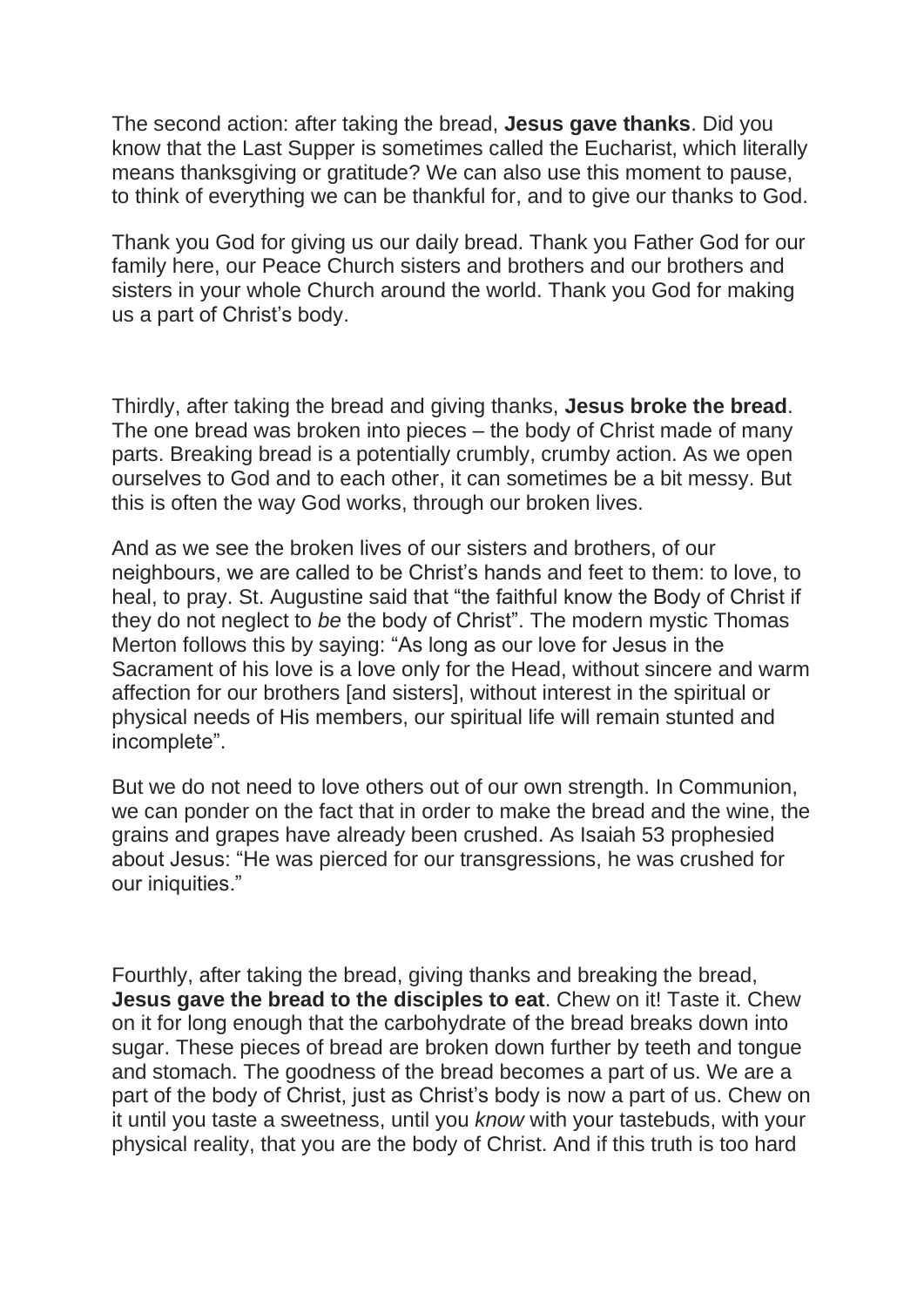The second action: after taking the bread, **Jesus gave thanks**. Did you know that the Last Supper is sometimes called the Eucharist, which literally means thanksgiving or gratitude? We can also use this moment to pause, to think of everything we can be thankful for, and to give our thanks to God.

Thank you God for giving us our daily bread. Thank you Father God for our family here, our Peace Church sisters and brothers and our brothers and sisters in your whole Church around the world. Thank you God for making us a part of Christ's body.

Thirdly, after taking the bread and giving thanks, **Jesus broke the bread**. The one bread was broken into pieces – the body of Christ made of many parts. Breaking bread is a potentially crumbly, crumby action. As we open ourselves to God and to each other, it can sometimes be a bit messy. But this is often the way God works, through our broken lives.

And as we see the broken lives of our sisters and brothers, of our neighbours, we are called to be Christ's hands and feet to them: to love, to heal, to pray. St. Augustine said that "the faithful know the Body of Christ if they do not neglect to *be* the body of Christ". The modern mystic Thomas Merton follows this by saying: "As long as our love for Jesus in the Sacrament of his love is a love only for the Head, without sincere and warm affection for our brothers [and sisters], without interest in the spiritual or physical needs of His members, our spiritual life will remain stunted and incomplete".

But we do not need to love others out of our own strength. In Communion, we can ponder on the fact that in order to make the bread and the wine, the grains and grapes have already been crushed. As Isaiah 53 prophesied about Jesus: "He was pierced for our transgressions, he was crushed for our iniquities."

Fourthly, after taking the bread, giving thanks and breaking the bread, **Jesus gave the bread to the disciples to eat**. Chew on it! Taste it. Chew on it for long enough that the carbohydrate of the bread breaks down into sugar. These pieces of bread are broken down further by teeth and tongue and stomach. The goodness of the bread becomes a part of us. We are a part of the body of Christ, just as Christ's body is now a part of us. Chew on it until you taste a sweetness, until you *know* with your tastebuds, with your physical reality, that you are the body of Christ. And if this truth is too hard